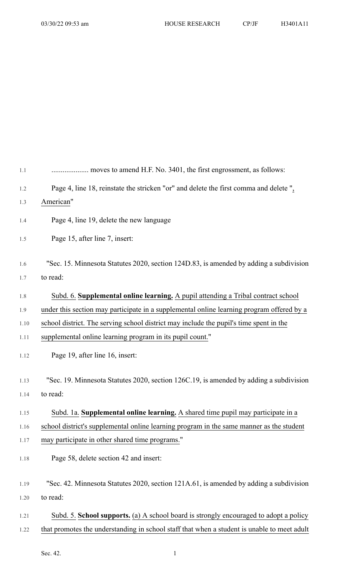| Page 4, line 18, reinstate the stricken "or" and delete the first comma and delete",        |
|---------------------------------------------------------------------------------------------|
| American"                                                                                   |
| Page 4, line 19, delete the new language                                                    |
| Page 15, after line 7, insert:                                                              |
| "Sec. 15. Minnesota Statutes 2020, section 124D.83, is amended by adding a subdivision      |
| to read:                                                                                    |
| Subd. 6. Supplemental online learning. A pupil attending a Tribal contract school           |
| under this section may participate in a supplemental online learning program offered by a   |
| school district. The serving school district may include the pupil's time spent in the      |
| supplemental online learning program in its pupil count."                                   |
| Page 19, after line 16, insert:                                                             |
| "Sec. 19. Minnesota Statutes 2020, section 126C.19, is amended by adding a subdivision      |
| to read:                                                                                    |
| Subd. 1a. Supplemental online learning. A shared time pupil may participate in a            |
| school district's supplemental online learning program in the same manner as the student    |
| may participate in other shared time programs."                                             |
| Page 58, delete section 42 and insert:                                                      |
| "Sec. 42. Minnesota Statutes 2020, section 121A.61, is amended by adding a subdivision      |
| to read:                                                                                    |
| Subd. 5. School supports. (a) A school board is strongly encouraged to adopt a policy       |
| that promotes the understanding in school staff that when a student is unable to meet adult |

Sec. 42. 1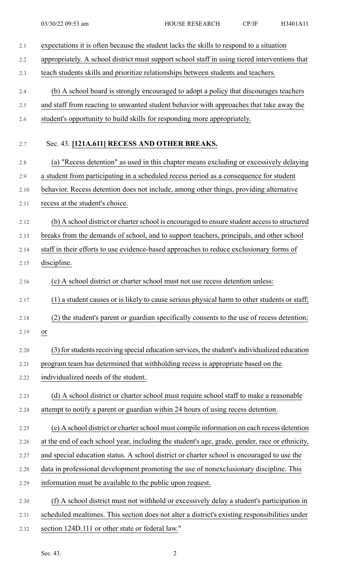| 2.1  | expectations it is often because the student lacks the skills to respond to a situation        |
|------|------------------------------------------------------------------------------------------------|
| 2.2  | appropriately. A school district must support school staff in using tiered interventions that  |
| 2.3  | teach students skills and prioritize relationships between students and teachers.              |
| 2.4  | (b) A school board is strongly encouraged to adopt a policy that discourages teachers          |
| 2.5  | and staff from reacting to unwanted student behavior with approaches that take away the        |
| 2.6  | student's opportunity to build skills for responding more appropriately.                       |
| 2.7  | Sec. 43. [121A.611] RECESS AND OTHER BREAKS.                                                   |
| 2.8  | (a) "Recess detention" as used in this chapter means excluding or excessively delaying         |
| 2.9  | a student from participating in a scheduled recess period as a consequence for student         |
| 2.10 | behavior. Recess detention does not include, among other things, providing alternative         |
| 2.11 | recess at the student's choice.                                                                |
| 2.12 | (b) A school district or charter school is encouraged to ensure student access to structured   |
| 2.13 | breaks from the demands of school, and to support teachers, principals, and other school       |
| 2.14 | staff in their efforts to use evidence-based approaches to reduce exclusionary forms of        |
| 2.15 | discipline.                                                                                    |
| 2.16 | (c) A school district or charter school must not use recess detention unless:                  |
| 2.17 | ) a student causes or is likely to cause serious physical harm to other students or staff;     |
| 2.18 | (2) the student's parent or guardian specifically consents to the use of recess detention;     |
| 2.19 | or                                                                                             |
| 2.20 | (3) for students receiving special education services, the student's individualized education  |
| 2.21 | program team has determined that withholding recess is appropriate based on the                |
| 2.22 | individualized needs of the student.                                                           |
| 2.23 | (d) A school district or charter school must require school staff to make a reasonable         |
| 2.24 | attempt to notify a parent or guardian within 24 hours of using recess detention.              |
| 2.25 | (e) A school district or charter school must compile information on each recess detention      |
| 2.26 | at the end of each school year, including the student's age, grade, gender, race or ethnicity, |
| 2.27 | and special education status. A school district or charter school is encouraged to use the     |
| 2.28 | data in professional development promoting the use of nonexclusionary discipline. This         |
| 2.29 | information must be available to the public upon request.                                      |
| 2.30 | (f) A school district must not withhold or excessively delay a student's participation in      |
| 2.31 | scheduled mealtimes. This section does not alter a district's existing responsibilities under  |
| 2.32 | section 124D.111 or other state or federal law."                                               |